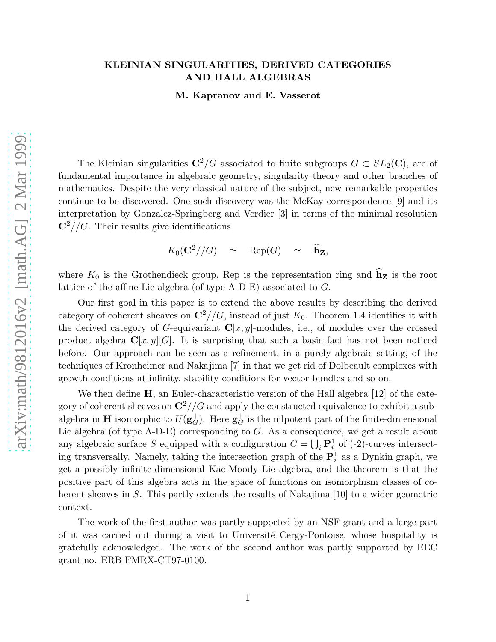# KLEINIAN SINGULARITIES, DERIVED CATEGORIES AND HALL ALGEBRAS

M. Kapranov and E. Vasserot

The Kleinian singularities  $\mathbb{C}^2/G$  associated to finite subgroups  $G \subset SL_2(\mathbb{C})$ , are of fundamental importance in algebraic geometry, singularity theory and other branches of mathematics. Despite the very classical nature of the subject, new remarkable properties continue to be discovered. One such discovery was the McKay correspondence [9] and its interpretation by Gonzalez-Springberg and Verdier [3] in terms of the minimal resolution  $\mathbb{C}^2//G$ . Their results give identifications

 $K_0({\bf C}^2//G) \quad \simeq \quad {\rm Rep}(G) \quad \simeq \quad \widehat{\bf h}_{\bf Z},$ 

where  $K_0$  is the Grothendieck group, Rep is the representation ring and  $\hat{\mathbf{h}}_z$  is the root lattice of the affine Lie algebra (of type A-D-E) associated to G.

Our first goal in this paper is to extend the above results by describing the derived category of coherent sheaves on  $\mathbb{C}^2//G$ , instead of just  $K_0$ . Theorem 1.4 identifies it with the derived category of G-equivariant  $\mathbf{C}[x, y]$ -modules, i.e., of modules over the crossed product algebra  $\mathbf{C}[x, y][G]$ . It is surprising that such a basic fact has not been noticed before. Our approach can be seen as a refinement, in a purely algebraic setting, of the techniques of Kronheimer and Nakajima [7] in that we get rid of Dolbeault complexes with growth conditions at infinity, stability conditions for vector bundles and so on.

We then define  $H$ , an Euler-characteristic version of the Hall algebra [12] of the category of coherent sheaves on  $\mathbb{C}^2//G$  and apply the constructed equivalence to exhibit a subalgebra in **H** isomorphic to  $U(\mathbf{g}_G^+)$ . Here  $\mathbf{g}_G^+$  is the nilpotent part of the finite-dimensional Lie algebra (of type  $A-D-E$ ) corresponding to  $G$ . As a consequence, we get a result about any algebraic surface S equipped with a configuration  $C = \bigcup_i \mathbf{P}_i^1$  of (-2)-curves intersecting transversally. Namely, taking the intersection graph of the  $\mathbf{P}_i^1$  as a Dynkin graph, we get a possibly infinite-dimensional Kac-Moody Lie algebra, and the theorem is that the positive part of this algebra acts in the space of functions on isomorphism classes of coherent sheaves in S. This partly extends the results of Nakajima [10] to a wider geometric context.

The work of the first author was partly supported by an NSF grant and a large part of it was carried out during a visit to Université Cergy-Pontoise, whose hospitality is gratefully acknowledged. The work of the second author was partly supported by EEC grant no. ERB FMRX-CT97-0100.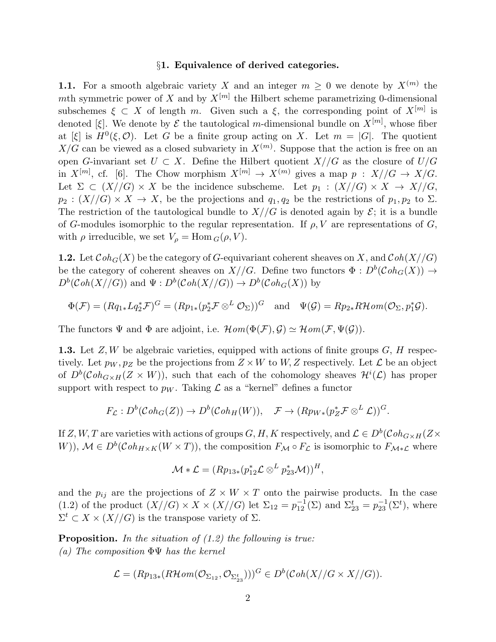### §1. Equivalence of derived categories.

**1.1.** For a smooth algebraic variety X and an integer  $m \geq 0$  we denote by  $X^{(m)}$  the mth symmetric power of X and by  $X^{[m]}$  the Hilbert scheme parametrizing 0-dimensional subschemes  $\xi \subset X$  of length m. Given such a  $\xi$ , the corresponding point of  $X^{[m]}$  is denoted [ξ]. We denote by  $\mathcal E$  the tautological m-dimensional bundle on  $X^{[m]}$ , whose fiber at [ξ] is  $H^0(\xi, \mathcal{O})$ . Let G be a finite group acting on X. Let  $m = |G|$ . The quotient  $X/G$  can be viewed as a closed subvariety in  $X^{(m)}$ . Suppose that the action is free on an open G-invariant set  $U \subset X$ . Define the Hilbert quotient  $X//G$  as the closure of  $U/G$ in  $X^{[m]}$ , cf. [6]. The Chow morphism  $X^{[m]} \to X^{(m)}$  gives a map  $p : X//G \to X/G$ . Let  $\Sigma \subset (X//G) \times X$  be the incidence subscheme. Let  $p_1 : (X//G) \times X \to X//G$ ,  $p_2 : (X//G) \times X \to X$ , be the projections and  $q_1, q_2$  be the restrictions of  $p_1, p_2$  to  $\Sigma$ . The restriction of the tautological bundle to  $X//G$  is denoted again by  $\mathcal{E}$ ; it is a bundle of G-modules isomorphic to the regular representation. If  $\rho$ , V are representations of G, with  $\rho$  irreducible, we set  $V_{\rho} = \text{Hom}_{G}(\rho, V)$ .

**1.2.** Let  $\mathcal{C}oh_G(X)$  be the category of G-equivariant coherent sheaves on X, and  $\mathcal{C}oh(X//G)$ be the category of coherent sheaves on  $X//G$ . Define two functors  $\Phi: D^b(\mathcal{C}oh_G(X)) \to$  $D^b(\mathcal{C}oh(X//G))$  and  $\Psi: D^b(\mathcal{C}oh(X//G)) \to D^b(\mathcal{C}oh_G(X))$  by

$$
\Phi(\mathcal{F}) = (Rq_{1*}Lq_{2}^{*}\mathcal{F})^{G} = (Rp_{1*}(p_{2}^{*}\mathcal{F} \otimes^{L} \mathcal{O}_{\Sigma}))^{G} \text{ and } \Psi(\mathcal{G}) = Rp_{2*}R\mathcal{H}om(\mathcal{O}_{\Sigma}, p_{1}^{*}\mathcal{G}).
$$

The functors  $\Psi$  and  $\Phi$  are adjoint, i.e.  $\mathcal{H}om(\Phi(\mathcal{F}), \mathcal{G}) \simeq \mathcal{H}om(\mathcal{F}, \Psi(\mathcal{G})).$ 

**1.3.** Let  $Z, W$  be algebraic varieties, equipped with actions of finite groups  $G, H$  respectively. Let  $p_W, p_Z$  be the projections from  $Z \times W$  to  $W, Z$  respectively. Let  $\mathcal L$  be an object of  $D^b(\mathcal{C}oh_{G\times H}(Z\times W))$ , such that each of the cohomology sheaves  $\mathcal{H}^i(\mathcal{L})$  has proper support with respect to  $p_W$ . Taking  $\mathcal L$  as a "kernel" defines a functor

$$
F_{\mathcal{L}}: D^b(\mathcal{C}oh_G(Z)) \to D^b(\mathcal{C}oh_H(W)), \quad \mathcal{F} \to (Rp_{W*}(p_Z^* \mathcal{F} \otimes^L \mathcal{L}))^G.
$$

If  $Z, W, T$  are varieties with actions of groups  $G, H, K$  respectively, and  $\mathcal{L} \in D^b(\mathcal{C}oh_{G \times H}(Z \times$ W)),  $\mathcal{M} \in D^b(\mathcal{C}oh_{H \times K}(W \times T))$ , the composition  $F_{\mathcal{M}} \circ F_{\mathcal{L}}$  is isomorphic to  $F_{\mathcal{M} * \mathcal{L}}$  where

$$
\mathcal{M} * \mathcal{L} = (Rp_{13*}(p_{12}^*\mathcal{L} \otimes^L p_{23}^*\mathcal{M}))^H,
$$

and the  $p_{ij}$  are the projections of  $Z \times W \times T$  onto the pairwise products. In the case (1.2) of the product  $(X//G) \times X \times (X//G)$  let  $\Sigma_{12} = p_{12}^{-1}(\Sigma)$  and  $\Sigma_{23}^t = p_{23}^{-1}(\Sigma^t)$ , where  $\Sigma^t \subset X \times (X//G)$  is the transpose variety of  $\Sigma$ .

**Proposition.** In the situation of  $(1.2)$  the following is true: (a) The composition  $\Phi\Psi$  has the kernel

$$
\mathcal{L} = (Rp_{13*}(R\mathcal{H}om(\mathcal{O}_{\Sigma_{12}}, \mathcal{O}_{\Sigma_{23}^t})))^G \in D^b(\mathcal{C}oh(X//G \times X//G)).
$$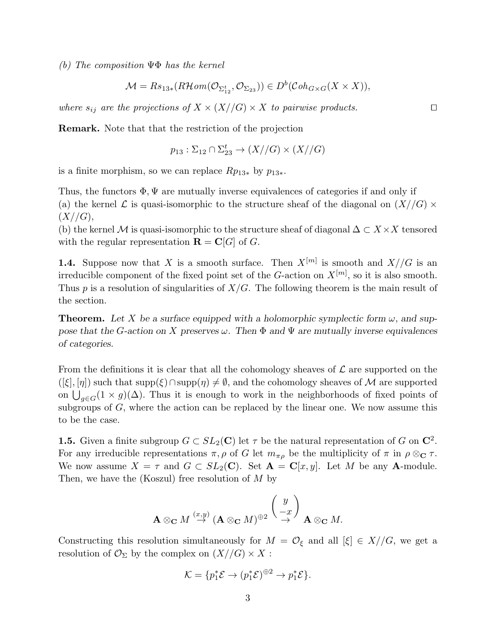(b) The composition  $\Psi\Phi$  has the kernel

$$
\mathcal{M}=Rs_{13*}(R\mathcal{H}om(\mathcal{O}_{\Sigma_{12}^t},\mathcal{O}_{\Sigma_{23}}))\in D^b(\mathcal{C}oh_{G\times G}(X\times X)),
$$

where  $s_{ij}$  are the projections of  $X \times (X//G) \times X$  to pairwise products. □

Remark. Note that that the restriction of the projection

$$
p_{13} : \Sigma_{12} \cap \Sigma_{23}^t \to (X//G) \times (X//G)
$$

is a finite morphism, so we can replace  $Rp_{13*}$  by  $p_{13*}$ .

Thus, the functors  $\Phi, \Psi$  are mutually inverse equivalences of categories if and only if (a) the kernel  $\mathcal L$  is quasi-isomorphic to the structure sheaf of the diagonal on  $(X/G) \times$  $(X//G),$ 

(b) the kernel M is quasi-isomorphic to the structure sheaf of diagonal  $\Delta \subset X \times X$  tensored with the regular representation  $\mathbf{R} = \mathbf{C}[G]$  of G.

**1.4.** Suppose now that X is a smooth surface. Then  $X^{[m]}$  is smooth and  $X//G$  is an irreducible component of the fixed point set of the G-action on  $X^{[m]}$ , so it is also smooth. Thus  $p$  is a resolution of singularities of  $X/G$ . The following theorem is the main result of the section.

**Theorem.** Let X be a surface equipped with a holomorphic symplectic form  $\omega$ , and suppose that the G-action on X preserves  $\omega$ . Then  $\Phi$  and  $\Psi$  are mutually inverse equivalences of categories.

From the definitions it is clear that all the cohomology sheaves of  $\mathcal L$  are supported on the  $([\xi], [\eta])$  such that supp $(\xi) \cap \text{supp}(\eta) \neq \emptyset$ , and the cohomology sheaves of M are supported on  $\bigcup_{g\in G}(1\times g)(\Delta)$ . Thus it is enough to work in the neighborhoods of fixed points of subgroups of  $G$ , where the action can be replaced by the linear one. We now assume this to be the case.

**1.5.** Given a finite subgroup  $G \subset SL_2(\mathbb{C})$  let  $\tau$  be the natural representation of G on  $\mathbb{C}^2$ . For any irreducible representations  $\pi, \rho$  of G let  $m_{\pi \rho}$  be the multiplicity of  $\pi$  in  $\rho \otimes_{\mathbb{C}} \tau$ . We now assume  $X = \tau$  and  $G \subset SL_2(\mathbb{C})$ . Set  $\mathbf{A} = \mathbf{C}[x, y]$ . Let M be any A-module. Then, we have the (Koszul) free resolution of  $M$  by

$$
\mathbf{A} \otimes_{\mathbf{C}} M \stackrel{(x,y)}{\rightarrow} (\mathbf{A} \otimes_{\mathbf{C}} M)^{\oplus 2} \stackrel{\left(\begin{array}{c} y \\ -x \end{array}\right)}{\rightarrow} \mathbf{A} \otimes_{\mathbf{C}} M.
$$

Constructing this resolution simultaneously for  $M = \mathcal{O}_{\xi}$  and all  $[\xi] \in X//G$ , we get a resolution of  $\mathcal{O}_{\Sigma}$  by the complex on  $(X//G) \times X$ :

$$
\mathcal{K} = \{p_1^* \mathcal{E} \to (p_1^* \mathcal{E})^{\oplus 2} \to p_1^* \mathcal{E}\}.
$$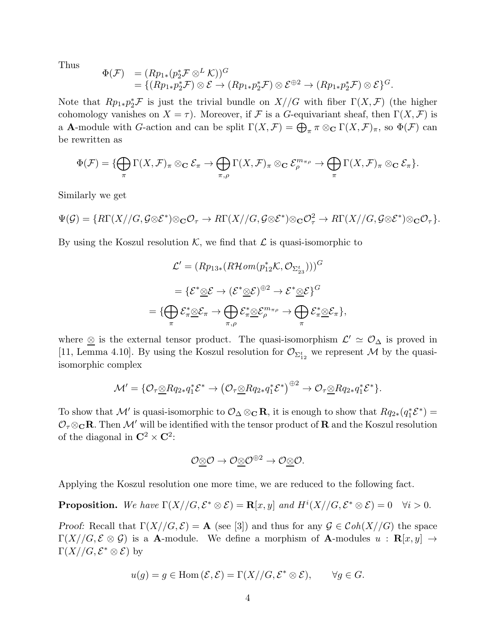Thus

$$
\Phi(\mathcal{F}) = (Rp_{1*}(p_2^* \mathcal{F} \otimes^L \mathcal{K}))^G
$$
  
=  $\{(Rp_{1*}p_2^* \mathcal{F}) \otimes \mathcal{E} \to (Rp_{1*}p_2^* \mathcal{F}) \otimes \mathcal{E}^{\oplus 2} \to (Rp_{1*}p_2^* \mathcal{F}) \otimes \mathcal{E}\}^G.$ 

Note that  $Rp_{1*}p_2^*\mathcal{F}$  is just the trivial bundle on  $X//G$  with fiber  $\Gamma(X,\mathcal{F})$  (the higher cohomology vanishes on  $X = \tau$ ). Moreover, if F is a G-equivariant sheaf, then  $\Gamma(X, \mathcal{F})$  is a **A**-module with *G*-action and can be split  $\Gamma(X, \mathcal{F}) = \bigoplus_{\pi} \pi \otimes_{\mathbb{C}} \Gamma(X, \mathcal{F})_{\pi}$ , so  $\Phi(\mathcal{F})$  can be rewritten as

$$
\Phi(\mathcal{F}) = \{ \bigoplus_{\pi} \Gamma(X, \mathcal{F})_{\pi} \otimes_{\mathbf{C}} \mathcal{E}_{\pi} \to \bigoplus_{\pi, \rho} \Gamma(X, \mathcal{F})_{\pi} \otimes_{\mathbf{C}} \mathcal{E}_{\rho}^{m_{\pi\rho}} \to \bigoplus_{\pi} \Gamma(X, \mathcal{F})_{\pi} \otimes_{\mathbf{C}} \mathcal{E}_{\pi} \}.
$$

Similarly we get

$$
\Psi(\mathcal{G}) = \{ R\Gamma(X//G, \mathcal{G}\otimes \mathcal{E}^*)\otimes_{\mathbf{C}} \mathcal{O}_{\tau} \to R\Gamma(X//G, \mathcal{G}\otimes \mathcal{E}^*)\otimes_{\mathbf{C}} \mathcal{O}_{\tau}^2 \to R\Gamma(X//G, \mathcal{G}\otimes \mathcal{E}^*)\otimes_{\mathbf{C}} \mathcal{O}_{\tau} \}.
$$

By using the Koszul resolution  $K$ , we find that  $\mathcal L$  is quasi-isomorphic to

$$
\mathcal{L}' = (Rp_{13*}(R\mathcal{H}om(p_{12}^{*}\mathcal{K}, \mathcal{O}_{\Sigma_{23}^{t}})))^{G}
$$
\n
$$
= \{\mathcal{E}^{*}\underline{\otimes}\mathcal{E} \to (\mathcal{E}^{*}\underline{\otimes}\mathcal{E})^{\oplus 2} \to \mathcal{E}^{*}\underline{\otimes}\mathcal{E}\}^{G}
$$
\n
$$
= \{\bigoplus_{\pi}\mathcal{E}^{*}_{\pi}\underline{\otimes}\mathcal{E}_{\pi} \to \bigoplus_{\pi,\rho}\mathcal{E}^{*}_{\pi}\underline{\otimes}\mathcal{E}_{\rho}^{m_{\pi\rho}} \to \bigoplus_{\pi}\mathcal{E}^{*}_{\pi}\underline{\otimes}\mathcal{E}_{\pi}\},
$$

where  $\otimes$  is the external tensor product. The quasi-isomorphism  $\mathcal{L}' \simeq \mathcal{O}_{\Delta}$  is proved in [11, Lemma 4.10]. By using the Koszul resolution for  $\mathcal{O}_{\Sigma_{12}^t}$  we represent M by the quasiisomorphic complex

$$
\mathcal{M}' = \{ \mathcal{O}_{\tau} \underline{\otimes} Rq_{2*}q_1^* \mathcal{E}^* \rightarrow \left(\mathcal{O}_{\tau} \underline{\otimes} Rq_{2*}q_1^* \mathcal{E}^*\right)^{\oplus 2} \rightarrow \mathcal{O}_{\tau} \underline{\otimes} Rq_{2*}q_1^* \mathcal{E}^* \}.
$$

To show that  $\mathcal{M}'$  is quasi-isomorphic to  $\mathcal{O}_{\Delta}\otimes_{\mathbf{C}}\mathbf{R}$ , it is enough to show that  $Rq_{2*}(q_1^*\mathcal{E}^*)=$  $\mathcal{O}_\tau \otimes_{\mathbf{C}} \mathbf{R}$ . Then  $\mathcal{M}'$  will be identified with the tensor product of  $\mathbf{R}$  and the Koszul resolution of the diagonal in  $\mathbb{C}^2 \times \mathbb{C}^2$ :

$$
\mathcal{O}\text{-}\!\otimes\!\mathcal{O} \to \mathcal{O}\text{-}\!\otimes\!\mathcal{O}^{\oplus 2} \to \mathcal{O}\text{-}\!\otimes\!\mathcal{O}.
$$

Applying the Koszul resolution one more time, we are reduced to the following fact.

**Proposition.** We have  $\Gamma(X//G, \mathcal{E}^* \otimes \mathcal{E}) = \mathbf{R}[x, y]$  and  $H^i(X//G, \mathcal{E}^* \otimes \mathcal{E}) = 0 \quad \forall i > 0$ .

Proof: Recall that  $\Gamma(X/(G,\mathcal{E}) = \mathbf{A}$  (see [3]) and thus for any  $\mathcal{G} \in \mathcal{C}oh(X//G)$  the space  $\Gamma(X//G,\mathcal{E}\otimes\mathcal{G})$  is a **A**-module. We define a morphism of **A**-modules  $u : \mathbf{R}[x,y] \to$  $\Gamma(X//G,\mathcal{E}^*\otimes\mathcal{E})$  by

$$
u(g) = g \in \text{Hom}(\mathcal{E}, \mathcal{E}) = \Gamma(X//G, \mathcal{E}^* \otimes \mathcal{E}), \qquad \forall g \in G.
$$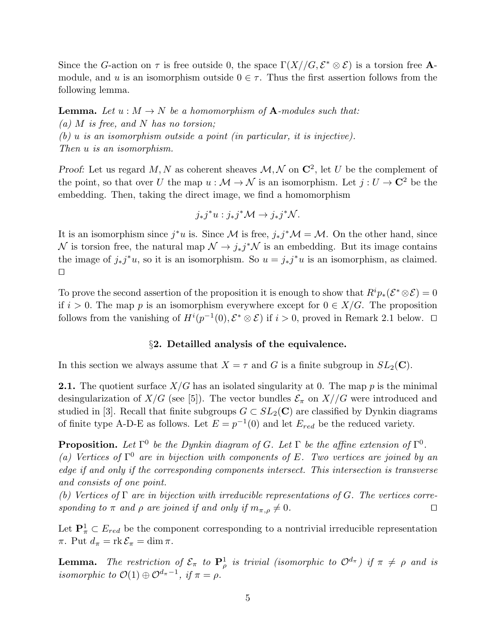Since the G-action on  $\tau$  is free outside 0, the space  $\Gamma(X//G,\mathcal{E}^*\otimes \mathcal{E})$  is a torsion free **A**module, and u is an isomorphism outside  $0 \in \tau$ . Thus the first assertion follows from the following lemma.

**Lemma.** Let  $u : M \to N$  be a homomorphism of **A**-modules such that: (a)  $M$  is free, and  $N$  has no torsion; (b) u is an isomorphism outside a point (in particular, it is injective). Then u is an isomorphism.

Proof: Let us regard M, N as coherent sheaves  $\mathcal{M}, \mathcal{N}$  on  $\mathbb{C}^2$ , let U be the complement of the point, so that over U the map  $u : \mathcal{M} \to \mathcal{N}$  is an isomorphism. Let  $j : U \to \mathbb{C}^2$  be the embedding. Then, taking the direct image, we find a homomorphism

$$
j_*j^*u:j_*j^*\mathcal{M}\to j_*j^*\mathcal{N}.
$$

It is an isomorphism since  $j^*u$  is. Since M is free,  $j_*j^*\mathcal{M} = \mathcal{M}$ . On the other hand, since N is torsion free, the natural map  $\mathcal{N} \to j_*j^*\mathcal{N}$  is an embedding. But its image contains the image of  $j_*j^*u$ , so it is an isomorphism. So  $u = j_*j^*u$  is an isomorphism, as claimed. ⊓⊔

To prove the second assertion of the proposition it is enough to show that  $R^i p_*(\mathcal{E}^* \otimes \mathcal{E}) = 0$ if  $i > 0$ . The map p is an isomorphism everywhere except for  $0 \in X/G$ . The proposition follows from the vanishing of  $H^{i}(p^{-1}(0), \mathcal{E}^* \otimes \mathcal{E})$  if  $i > 0$ , proved in Remark 2.1 below. □

### §2. Detailled analysis of the equivalence.

In this section we always assume that  $X = \tau$  and G is a finite subgroup in  $SL_2(\mathbb{C})$ .

**2.1.** The quotient surface  $X/G$  has an isolated singularity at 0. The map p is the minimal desingularization of  $X/G$  (see [5]). The vector bundles  $\mathcal{E}_{\pi}$  on  $X//G$  were introduced and studied in [3]. Recall that finite subgroups  $G \subset SL_2(\mathbb{C})$  are classified by Dynkin diagrams of finite type A-D-E as follows. Let  $E = p^{-1}(0)$  and let  $E_{red}$  be the reduced variety.

**Proposition.** Let  $\Gamma^0$  be the Dynkin diagram of G. Let  $\Gamma$  be the affine extension of  $\Gamma^0$ . (a) Vertices of  $\Gamma^0$  are in bijection with components of E. Two vertices are joined by an edge if and only if the corresponding components intersect. This intersection is transverse and consists of one point.

(b) Vertices of  $\Gamma$  are in bijection with irreducible representations of G. The vertices corresponding to  $\pi$  and  $\rho$  are joined if and only if  $m_{\pi,\rho} \neq 0$ . □

Let  $\mathbf{P}_{\pi}^1 \subset E_{red}$  be the component corresponding to a nontrivial irreducible representation  $\pi$ . Put  $d_{\pi} = \text{rk } \mathcal{E}_{\pi} = \dim \pi$ .

**Lemma.** The restriction of  $\mathcal{E}_{\pi}$  to  $\mathbf{P}_{\rho}^1$  is trivial (isomorphic to  $\mathcal{O}^{d_{\pi}}$ ) if  $\pi \neq \rho$  and is isomorphic to  $\mathcal{O}(1) \oplus \mathcal{O}^{d_{\pi}-1}$ , if  $\pi = \rho$ .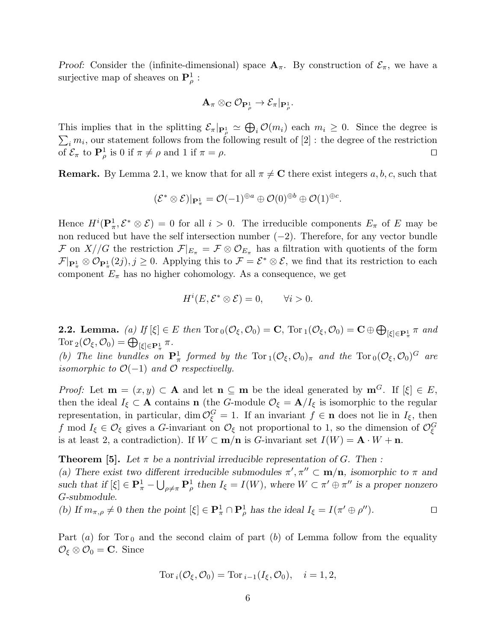Proof: Consider the (infinite-dimensional) space  $A_{\pi}$ . By construction of  $\mathcal{E}_{\pi}$ , we have a surjective map of sheaves on  $\mathbf{P}^1_\rho$ :

$$
\mathbf{A}_\pi \otimes_\mathbf{C} \mathcal{O}_{\mathbf{P}^1_\rho} \to \mathcal{E}_\pi|_{\mathbf{P}^1_\rho}.
$$

This implies that in the splitting  $\mathcal{E}_{\pi}|_{\mathbf{P}_{\rho}^1} \simeq \bigoplus_i \mathcal{O}(m_i)$  each  $m_i \geq 0$ . Since the degree is  $\sum_i m_i$ , our statement follows from the following result of [2]: the degree of the restriction of  $\mathcal{E}_{\pi}$  to  $\mathbf{P}_{\rho}^{1}$  is 0 if  $\pi \neq \rho$  and 1 if  $\pi = \rho$ .

**Remark.** By Lemma 2.1, we know that for all  $\pi \neq C$  there exist integers a, b, c, such that

$$
(\mathcal{E}^*\otimes \mathcal{E})|_{\mathbf{P}^1_\pi}=\mathcal{O}(-1)^{\oplus a}\oplus \mathcal{O}(0)^{\oplus b}\oplus \mathcal{O}(1)^{\oplus c}.
$$

Hence  $H^i(\mathbf{P}_\pi^1, \mathcal{E}^* \otimes \mathcal{E}) = 0$  for all  $i > 0$ . The irreducible components  $E_\pi$  of E may be non reduced but have the self intersection number  $(-2)$ . Therefore, for any vector bundle F on  $X//G$  the restriction  $\mathcal{F}|_{E_{\pi}} = \mathcal{F} \otimes \mathcal{O}_{E_{\pi}}$  has a filtration with quotients of the form  $\mathcal{F}|_{\mathbf{P}^1_{\pi}} \otimes \mathcal{O}_{\mathbf{P}^1_{\pi}}(2j), j \geq 0$ . Applying this to  $\mathcal{F} = \mathcal{E}^* \otimes \mathcal{E}$ , we find that its restriction to each component  $E_{\pi}$  has no higher cohomology. As a consequence, we get

$$
H^i(E, \mathcal{E}^* \otimes \mathcal{E}) = 0, \qquad \forall i > 0.
$$

**2.2. Lemma.** (a) If  $[\xi] \in E$  then  $\text{Tor}_0(\mathcal{O}_{\xi}, \mathcal{O}_0) = \mathbf{C}$ ,  $\text{Tor}_1(\mathcal{O}_{\xi}, \mathcal{O}_0) = \mathbf{C} \oplus \bigoplus_{[\xi] \in \mathbf{P}_{\pi}^1} \pi$  and Tor  $_2(\mathcal{O}_\xi, \mathcal{O}_0) = \bigoplus_{[\xi] \in \mathbf{P}^1_\pi} \pi$ .

(b) The line bundles on  $\mathbf{P}^1_\pi$  formed by the  $\text{Tor}_1(\mathcal{O}_\xi,\mathcal{O}_0)_\pi$  and the  $\text{Tor}_0(\mathcal{O}_\xi,\mathcal{O}_0)^G$  are isomorphic to  $\mathcal{O}(-1)$  and  $\mathcal O$  respectivelly.

*Proof:* Let  $\mathbf{m} = (x, y) \subset \mathbf{A}$  and let  $\mathbf{n} \subseteq \mathbf{m}$  be the ideal generated by  $\mathbf{m}^G$ . If  $[\xi] \in E$ , then the ideal  $I_{\xi} \subset \mathbf{A}$  contains **n** (the G-module  $\mathcal{O}_{\xi} = \mathbf{A}/I_{\xi}$  is isomorphic to the regular representation, in particular, dim  $\mathcal{O}_{\xi}^G = 1$ . If an invariant  $f \in \mathbf{n}$  does not lie in  $I_{\xi}$ , then f mod  $I_{\xi} \in \mathcal{O}_{\xi}$  gives a G-invariant on  $\mathcal{O}_{\xi}$  not proportional to 1, so the dimension of  $\mathcal{O}_{\xi}^G$ is at least 2, a contradiction). If  $W \subset \mathbf{m}/\mathbf{n}$  is G-invariant set  $I(W) = \mathbf{A} \cdot W + \mathbf{n}$ .

**Theorem [5].** Let  $\pi$  be a nontrivial irreducible representation of G. Then : (a) There exist two different irreducible submodules  $\pi', \pi'' \subset \mathbf{m/n}$ , isomorphic to  $\pi$  and such that if  $[\xi] \in \mathbf{P}_{\pi}^1 - \bigcup_{\rho \neq \pi} \mathbf{P}_{\rho}^1$  then  $I_{\xi} = I(W)$ , where  $W \subset \pi' \oplus \pi''$  is a proper nonzero

G-submodule. (b) If  $m_{\pi,\rho} \neq 0$  then the point  $[\xi] \in \mathbf{P}^1_{\pi} \cap \mathbf{P}^1_{\rho}$  has the ideal  $I_{\xi} = I(\pi' \oplus \rho'')$ .

Part (a) for Tor<sub>0</sub> and the second claim of part (b) of Lemma follow from the equality  $\mathcal{O}_{\xi} \otimes \mathcal{O}_{0} = \mathbf{C}$ . Since

$$
\text{Tor}_i(\mathcal{O}_\xi, \mathcal{O}_0) = \text{Tor}_{i-1}(I_\xi, \mathcal{O}_0), \quad i = 1, 2,
$$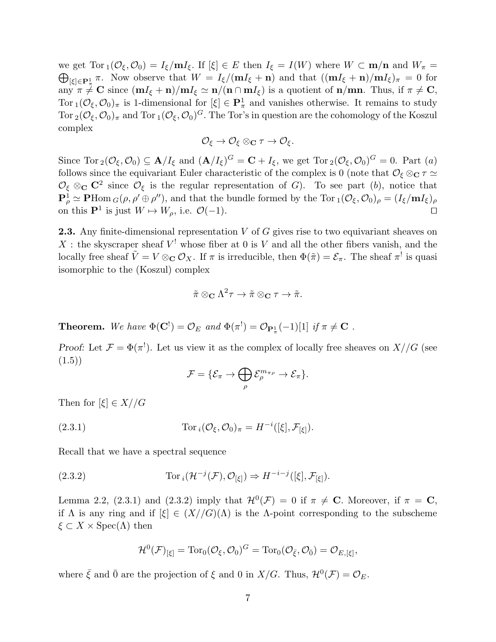we get  $\text{Tor}_1(\mathcal{O}_\xi,\mathcal{O}_0)=I_\xi/\mathbf{m}I_\xi.$  If  $[\xi]\in E$  then  $I_\xi=I(W)$  where  $W\subset \mathbf{m/n}$  and  $W_\pi=$  $\bigoplus_{[\xi]\in {\bf P}_\pi^1} \pi$ . Now observe that  $W = I_{\xi}/({\bf m}I_{\xi} + {\bf n})$  and that  $(({\bf m}I_{\xi} + {\bf n})/{{\bf m}}I_{\xi})_{\pi} = 0$  for  $\lim_{k \to \infty} \frac{1}{k!} \mathbf{C}$  since  $(\mathbf{m}I_{\xi} + \mathbf{n})/\mathbf{m}I_{\xi} \simeq \mathbf{n}/(\mathbf{n} \cap \mathbf{m}I_{\xi})$  is a quotient of  $\mathbf{n}/\mathbf{m}$ . Thus, if  $\pi \neq \mathbf{C}$ , Tor  $_1(\mathcal{O}_\xi, \mathcal{O}_0)_\pi$  is 1-dimensional for  $[\xi] \in \mathbf{P}^1_\pi$  and vanishes otherwise. It remains to study Tor  $_2(\mathcal{O}_\xi,\mathcal{O}_0)_\pi$  and Tor  $_1(\mathcal{O}_\xi,\mathcal{O}_0)^G$ . The Tor's in question are the cohomology of the Koszul complex

$$
\mathcal{O}_{\xi}\rightarrow \mathcal{O}_{\xi}\otimes_{\mathbf{C}}\tau\rightarrow \mathcal{O}_{\xi}.
$$

Since  $\text{Tor}_2(\mathcal{O}_\xi,\mathcal{O}_0) \subseteq \mathbf{A}/I_\xi$  and  $(\mathbf{A}/I_\xi)^G = \mathbf{C} + I_\xi$ , we get  $\text{Tor}_2(\mathcal{O}_\xi,\mathcal{O}_0)^G = 0$ . Part  $(a)$ follows since the equivariant Euler characteristic of the complex is 0 (note that  $\mathcal{O}_{\xi} \otimes_{\mathbf{C}} \tau \simeq$  $\mathcal{O}_{\xi} \otimes_{\mathbf{C}} \mathbf{C}^2$  since  $\mathcal{O}_{\xi}$  is the regular representation of G). To see part (b), notice that  $\mathbf{P}^1_\rho \simeq \mathbf{P} \text{Hom}_G(\rho, \rho' \oplus \rho'')$ , and that the bundle formed by the Tor  $_1(\mathcal{O}_\xi, \mathcal{O}_0)_\rho = (I_\xi / \mathbf{m} I_\xi)_\rho$ on this  $\mathbf{P}^1$  is just  $W \mapsto W_\rho$ , i.e.  $\mathcal{O}(-1)$ . □

**2.3.** Any finite-dimensional representation  $V$  of  $G$  gives rise to two equivariant sheaves on X : the skyscraper sheaf  $V^!$  whose fiber at 0 is V and all the other fibers vanish, and the locally free sheaf  $\tilde{V} = V \otimes_{\mathbf{C}} \mathcal{O}_X$ . If  $\pi$  is irreducible, then  $\Phi(\tilde{\pi}) = \mathcal{E}_{\pi}$ . The sheaf  $\pi^!$  is quasi isomorphic to the (Koszul) complex

$$
\tilde{\pi} \otimes_{\mathbf{C}} \Lambda^2 \tau \to \tilde{\pi} \otimes_{\mathbf{C}} \tau \to \tilde{\pi}.
$$

**Theorem.** We have  $\Phi(\mathbf{C}^!) = \mathcal{O}_E$  and  $\Phi(\pi^!) = \mathcal{O}_{\mathbf{P}_{\pi}^1}(-1)[1]$  if  $\pi \neq \mathbf{C}$ .

Proof: Let  $\mathcal{F} = \Phi(\pi^!)$ . Let us view it as the complex of locally free sheaves on  $X//G$  (see (1.5))

$$
\mathcal{F} = \{ \mathcal{E}_{\pi} \to \bigoplus_{\rho} \mathcal{E}_{\rho}^{m_{\pi\rho}} \to \mathcal{E}_{\pi} \}.
$$

Then for  $[\xi] \in X//G$ 

(2.3.1)  $\text{Tor}_i(\mathcal{O}_\xi, \mathcal{O}_0)_\pi = H^{-i}([\xi], \mathcal{F}_{[\xi]})$ .

Recall that we have a spectral sequence

(2.3.2) 
$$
\operatorname{Tor}_i(\mathcal{H}^{-j}(\mathcal{F}), \mathcal{O}_{[\xi]}) \Rightarrow H^{-i-j}([\xi], \mathcal{F}_{[\xi]}).
$$

Lemma 2.2, (2.3.1) and (2.3.2) imply that  $\mathcal{H}^0(\mathcal{F}) = 0$  if  $\pi \neq \mathbb{C}$ . Moreover, if  $\pi = \mathbb{C}$ , if  $\Lambda$  is any ring and if  $[\xi] \in (X//G)(\Lambda)$  is the  $\Lambda$ -point corresponding to the subscheme  $\xi \subset X \times \operatorname{Spec}(\Lambda)$  then

$$
\mathcal{H}^0(\mathcal{F})_{\left[\xi\right]} = \text{Tor}_0(\mathcal{O}_{\xi}, \mathcal{O}_0)^G = \text{Tor}_0(\mathcal{O}_{\bar{\xi}}, \mathcal{O}_{\bar{0}}) = \mathcal{O}_{E, \left[\xi\right]},
$$

where  $\bar{\xi}$  and  $\bar{0}$  are the projection of  $\xi$  and 0 in  $X/G$ . Thus,  $\mathcal{H}^0(\mathcal{F}) = \mathcal{O}_E$ .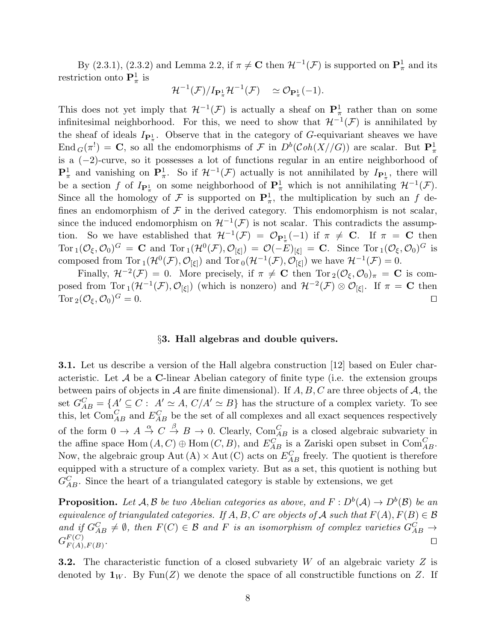By (2.3.1), (2.3.2) and Lemma 2.2, if  $\pi \neq C$  then  $\mathcal{H}^{-1}(\mathcal{F})$  is supported on  $\mathbf{P}^1_{\pi}$  and its restriction onto  $\mathbf{P}^1_{\pi}$  is

$$
\mathcal{H}^{-1}(\mathcal{F})/I_{\mathbf{P}_{\pi}^{1}}\mathcal{H}^{-1}(\mathcal{F}) \quad \simeq \mathcal{O}_{\mathbf{P}_{\pi}^{1}}(-1).
$$

This does not yet imply that  $\mathcal{H}^{-1}(\mathcal{F})$  is actually a sheaf on  $\mathbf{P}^1_\pi$  rather than on some infinitesimal neighborhood. For this, we need to show that  $\mathcal{H}^{-1}(\mathcal{F})$  is annihilated by the sheaf of ideals  $I_{\mathbf{P}_{\pi}^1}$ . Observe that in the category of G-equivariant sheaves we have End  $_G(\pi^!) = \mathbf{C}$ , so all the endomorphisms of  $\mathcal F$  in  $D^b(\mathcal{C}oh(X//G))$  are scalar. But  $\mathbf{P}^1_{\pi}$ is a (−2)-curve, so it possesses a lot of functions regular in an entire neighborhood of  $\mathbf{P}^1_\pi$  and vanishing on  $\mathbf{P}^1_\pi$ . So if  $\mathcal{H}^{-1}(\mathcal{F})$  actually is not annihilated by  $I_{\mathbf{P}^1_\pi}$ , there will be a section f of  $I_{\mathbf{P}^1_\pi}$  on some neighborhood of  $\mathbf{P}^1_\pi$  which is not annihilating  $\mathcal{H}^{-1}(\mathcal{F})$ . Since all the homology of F is supported on  $\mathbf{P}^1_\pi$ , the multiplication by such an f defines an endomorphism of  $\mathcal F$  in the derived category. This endomorphism is not scalar, since the induced endomorphism on  $\mathcal{H}^{-1}(\mathcal{F})$  is not scalar. This contradicts the assumption. So we have established that  $\mathcal{H}^{-1}(\mathcal{F}) = \mathcal{O}_{\mathbf{P}_*^1}(-1)$  if  $\pi \neq \mathbf{C}$ . If  $\pi = \mathbf{C}$  then Tor  $_1(\mathcal{O}_\xi, \mathcal{O}_0)^G = \mathbf{C}$  and Tor  $_1(\mathcal{H}^0(\mathcal{F}), \mathcal{O}_{[\xi]}) = \mathcal{O}(-E)_{[\xi]} = \mathbf{C}$ . Since Tor  $_1(\mathcal{O}_\xi, \mathcal{O}_0)^G$  is composed from Tor  $_1(\mathcal{H}^0(\mathcal{F}), \mathcal{O}_{[\xi]})$  and Tor  $_0(\mathcal{H}^{-1}(\mathcal{F}), \mathcal{O}_{[\xi]})$  we have  $\mathcal{H}^{-1}(\mathcal{F}) = 0$ .

Finally,  $\mathcal{H}^{-2}(\mathcal{F}) = 0$ . More precisely, if  $\pi \neq \mathbf{C}$  then  $\text{Tor}_2(\mathcal{O}_\xi, \mathcal{O}_0)_\pi = \mathbf{C}$  is composed from  $\text{Tor}_1(\mathcal{H}^{-1}(\mathcal{F}), \mathcal{O}_{[\xi]})$  (which is nonzero) and  $\mathcal{H}^{-2}(\mathcal{F})\otimes \mathcal{O}_{[\xi]}$ . If  $\pi = \mathbf{C}$  then Tor  $_2(\mathcal{O}_\xi,\mathcal{O}_0)^G=0.$  $G = 0.$ 

#### §3. Hall algebras and double quivers.

3.1. Let us describe a version of the Hall algebra construction [12] based on Euler characteristic. Let  $A$  be a C-linear Abelian category of finite type (i.e. the extension groups between pairs of objects in A are finite dimensional). If  $A, B, C$  are three objects of A, the set  $G_{AB}^C = \{A' \subseteq C : A' \simeq A, C/A' \simeq B\}$  has the structure of a complex variety. To see this, let  $\text{Com}_{AB}^C$  and  $E_{AB}^C$  be the set of all complexes and all exact sequences respectively of the form  $0 \to A \stackrel{\alpha}{\to} C \stackrel{\beta}{\to} B \to 0$ . Clearly,  $Com_{AB}^C$  is a closed algebraic subvariety in the affine space Hom  $(A, C) \oplus \text{Hom}(C, B)$ , and  $E_{AB}^C$  is a Zariski open subset in Com $_{AB}^C$ . Now, the algebraic group Aut (A)  $\times$  Aut (C) acts on  $E_{AB}^C$  freely. The quotient is therefore equipped with a structure of a complex variety. But as a set, this quotient is nothing but  $G_{AB}^C$ . Since the heart of a triangulated category is stable by extensions, we get

**Proposition.** Let  $A, B$  be two Abelian categories as above, and  $F: D^b(A) \to D^b(\mathcal{B})$  be an equivalence of triangulated categories. If A, B, C are objects of A such that  $F(A), F(B) \in \mathcal{B}$ and if  $G_{AB}^C \neq \emptyset$ , then  $F(C) \in \mathcal{B}$  and F is an isomorphism of complex varieties  $G_{AB}^C \rightarrow$  $G_{F(A)}^{F(C)}$  $F(X)$ <br> $F(A), F(B)$ . □

**3.2.** The characteristic function of a closed subvariety W of an algebraic variety Z is denoted by  $\mathbf{1}_W$ . By Fun(Z) we denote the space of all constructible functions on Z. If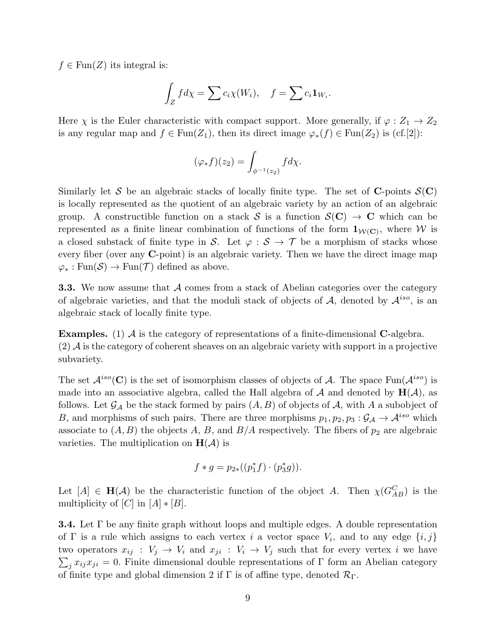$f \in \text{Fun}(Z)$  its integral is:

$$
\int_Z f d\chi = \sum c_i \chi(W_i), \quad f = \sum c_i \mathbf{1}_{W_i}.
$$

Here  $\chi$  is the Euler characteristic with compact support. More generally, if  $\varphi: Z_1 \to Z_2$ is any regular map and  $f \in \text{Fun}(Z_1)$ , then its direct image  $\varphi_*(f) \in \text{Fun}(Z_2)$  is (cf.[2]):

$$
(\varphi_* f)(z_2) = \int_{\phi^{-1}(z_2)} f d\chi.
$$

Similarly let S be an algebraic stacks of locally finite type. The set of C-points  $S(C)$ is locally represented as the quotient of an algebraic variety by an action of an algebraic group. A constructible function on a stack S is a function  $\mathcal{S}(\mathbf{C}) \to \mathbf{C}$  which can be represented as a finite linear combination of functions of the form  $1_{\mathcal{W}(\mathbf{C})}$ , where W is a closed substack of finite type in S. Let  $\varphi : \mathcal{S} \to \mathcal{T}$  be a morphism of stacks whose every fiber (over any C-point) is an algebraic variety. Then we have the direct image map  $\varphi_* : \text{Fun}(\mathcal{S}) \to \text{Fun}(\mathcal{T})$  defined as above.

**3.3.** We now assume that  $\mathcal A$  comes from a stack of Abelian categories over the category of algebraic varieties, and that the moduli stack of objects of  $A$ , denoted by  $A^{iso}$ , is an algebraic stack of locally finite type.

**Examples.** (1)  $\mathcal A$  is the category of representations of a finite-dimensional **C**-algebra.  $(2)$  A is the category of coherent sheaves on an algebraic variety with support in a projective subvariety.

The set  $\mathcal{A}^{iso}(\mathbf{C})$  is the set of isomorphism classes of objects of A. The space Fun $(\mathcal{A}^{iso})$  is made into an associative algebra, called the Hall algebra of  $A$  and denoted by  $H(A)$ , as follows. Let  $\mathcal{G}_{\mathcal{A}}$  be the stack formed by pairs  $(A, B)$  of objects of  $\mathcal{A}$ , with A a subobject of B, and morphisms of such pairs. There are three morphisms  $p_1, p_2, p_3 : \mathcal{G}_{\mathcal{A}} \to \mathcal{A}^{iso}$  which associate to  $(A, B)$  the objects A, B, and  $B/A$  respectively. The fibers of  $p_2$  are algebraic varieties. The multiplication on  $H(\mathcal{A})$  is

$$
f * g = p_{2*}((p_1^* f) \cdot (p_3^* g)).
$$

Let  $[A] \in H(A)$  be the characteristic function of the object A. Then  $\chi(G_{AB}^C)$  is the multiplicity of  $[C]$  in  $[A] * [B]$ .

**3.4.** Let  $\Gamma$  be any finite graph without loops and multiple edges. A double representation of  $\Gamma$  is a rule which assigns to each vertex i a vector space  $V_i$ , and to any edge  $\{i, j\}$ two operators  $x_{ij}$ :  $V_j \rightarrow V_i$  and  $x_{ji}$ :  $V_i \rightarrow V_j$  such that for every vertex i we have  $\sum_j x_{ij}x_{ji} = 0.$  Finite dimensional double representations of  $\Gamma$  form an Abelian category of finite type and global dimension 2 if  $\Gamma$  is of affine type, denoted  $\mathcal{R}_{\Gamma}$ .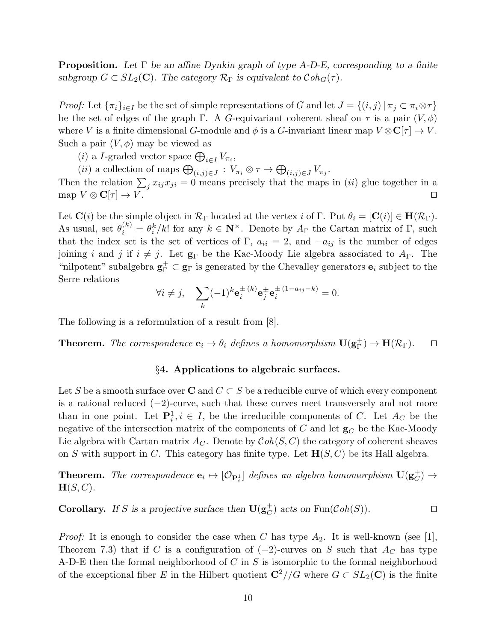**Proposition.** Let  $\Gamma$  be an affine Dynkin graph of type A-D-E, corresponding to a finite subgroup  $G \subset SL_2(\mathbb{C})$ . The category  $\mathcal{R}_{\Gamma}$  is equivalent to  $\mathcal{C}oh_G(\tau)$ .

*Proof:* Let  $\{\pi_i\}_{i\in I}$  be the set of simple representations of G and let  $J = \{(i,j) | \pi_j \subset \pi_i \otimes \tau\}$ be the set of edges of the graph Γ. A G-equivariant coherent sheaf on  $\tau$  is a pair  $(V, \phi)$ where V is a finite dimensional G-module and  $\phi$  is a G-invariant linear map  $V \otimes \mathbb{C}[\tau] \to V$ . Such a pair  $(V, \phi)$  may be viewed as

(*i*) a *I*-graded vector space  $\bigoplus_{i \in I} V_{\pi_i}$ ,

(*ii*) a collection of maps  $\bigoplus_{(i,j)\in J} : V_{\pi_i} \otimes \tau \to \bigoplus_{(i,j)\in J} V_{\pi_j}$ .

Then the relation  $\sum_j x_{ij}x_{ji} = 0$  means precisely that the maps in (*ii*) glue together in a map  $V \otimes \mathbf{C}[\tau] \to V$ .

Let  $\mathbf{C}(i)$  be the simple object in  $\mathcal{R}_{\Gamma}$  located at the vertex i of  $\Gamma$ . Put  $\theta_i = [\mathbf{C}(i)] \in \mathbf{H}(\mathcal{R}_{\Gamma})$ . As usual, set  $\theta_i^{(k)} = \theta_i^k / k!$  for any  $k \in \mathbb{N}^\times$ . Denote by  $A_\Gamma$  the Cartan matrix of  $\Gamma$ , such that the index set is the set of vertices of Γ,  $a_{ii} = 2$ , and  $-a_{ij}$  is the number of edges joining i and j if  $i \neq j$ . Let  $\mathbf{g}_{\Gamma}$  be the Kac-Moody Lie algebra associated to  $A_{\Gamma}$ . The "nilpotent" subalgebra  $g_{\Gamma}^+ \subset g_{\Gamma}$  is generated by the Chevalley generators  $e_i$  subject to the Serre relations

$$
\forall i \neq j, \quad \sum_{k} (-1)^k \mathbf{e}_i^{\pm (k)} \mathbf{e}_j^{\pm} \mathbf{e}_i^{\pm (1 - a_{ij} - k)} = 0.
$$

The following is a reformulation of a result from [8].

**Theorem.** The correspondence  $\mathbf{e}_i \to \theta_i$  defines a homomorphism  $\mathbf{U}(\mathbf{g}_{\Gamma}^+)$  $_{\Gamma}^{\mathrm{+}}$   $\mathrm{)}$   $\rightarrow$   $\mathrm{H}(\mathcal{R}_{\Gamma})$ .  $\Box$ 

# §4. Applications to algebraic surfaces.

Let S be a smooth surface over C and  $C \subset S$  be a reducible curve of which every component is a rational reduced  $(-2)$ -curve, such that these curves meet transversely and not more than in one point. Let  $\mathbf{P}_i^1, i \in I$ , be the irreducible components of C. Let  $A_C$  be the negative of the intersection matrix of the components of C and let  $g_C$  be the Kac-Moody Lie algebra with Cartan matrix  $A_C$ . Denote by  $\mathcal{C}oh(S, C)$  the category of coherent sheaves on S with support in C. This category has finite type. Let  $\mathbf{H}(S, C)$  be its Hall algebra.

**Theorem.** The correspondence  $\mathbf{e}_i \mapsto [\mathcal{O}_{\mathbf{P}_i^1}]$  defines an algebra homomorphism  $\mathbf{U}(\mathbf{g}_C^+)$  $_C^+) \rightarrow$  $H(S, C)$ .

**Corollary.** If S is a projective surface then  $\mathbf{U}(\mathbf{g}_C^+)$  $\overrightarrow{C}$ ) acts on Fun( $\mathcal{C}oh(S)$ ). □

*Proof:* It is enough to consider the case when C has type  $A_2$ . It is well-known (see [1], Theorem 7.3) that if C is a configuration of  $(-2)$ -curves on S such that  $A_C$  has type A-D-E then the formal neighborhood of  $C$  in  $S$  is isomorphic to the formal neighborhood of the exceptional fiber E in the Hilbert quotient  $\mathbb{C}^2//G$  where  $G \subset SL_2(\mathbb{C})$  is the finite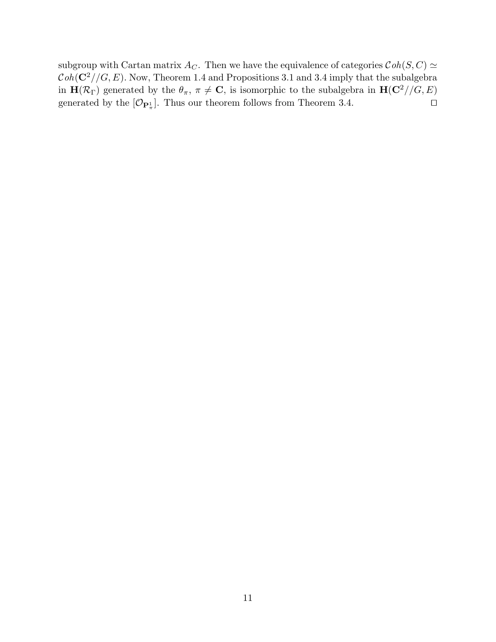subgroup with Cartan matrix  $A_C$ . Then we have the equivalence of categories  $\mathcal{C}oh(S, C) \simeq$  $\mathcal{C}oh(\mathbf{C}^2//G,E)$ . Now, Theorem 1.4 and Propositions 3.1 and 3.4 imply that the subalgebra in  $\mathbf{H}(\mathcal{R}_{\Gamma})$  generated by the  $\theta_{\pi}$ ,  $\pi \neq \mathbf{C}$ , is isomorphic to the subalgebra in  $\mathbf{H}(\mathbf{C}^2//G, E)$ generated by the  $[\mathcal{O}_{\mathbf{P}_\pi^1}]$ . Thus our theorem follows from Theorem 3.4. □